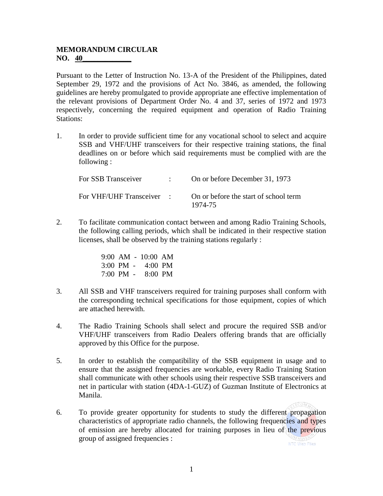## **MEMORANDUM CIRCULAR NO.** 40

Pursuant to the Letter of Instruction No. 13-A of the President of the Philippines, dated September 29, 1972 and the provisions of Act No. 3846, as amended, the following guidelines are hereby promulgated to provide appropriate ane effective implementation of the relevant provisions of Department Order No. 4 and 37, series of 1972 and 1973 respectively, concerning the required equipment and operation of Radio Training Stations:

1. In order to provide sufficient time for any vocational school to select and acquire SSB and VHF/UHF transceivers for their respective training stations, the final deadlines on or before which said requirements must be complied with are the following :

| For SSB Transceiver       | On or before December 31, 1973                   |
|---------------------------|--------------------------------------------------|
| For VHF/UHF Transceiver : | On or before the start of school term<br>1974-75 |

2. To facilitate communication contact between and among Radio Training Schools, the following calling periods, which shall be indicated in their respective station licenses, shall be observed by the training stations regularly :

> 9:00 AM - 10:00 AM 3:00 PM - 4:00 PM 7:00 PM - 8:00 PM

- 3. All SSB and VHF transceivers required for training purposes shall conform with the corresponding technical specifications for those equipment, copies of which are attached herewith.
- 4. The Radio Training Schools shall select and procure the required SSB and/or VHF/UHF transceivers from Radio Dealers offering brands that are officially approved by this Office for the purpose.
- 5. In order to establish the compatibility of the SSB equipment in usage and to ensure that the assigned frequencies are workable, every Radio Training Station shall communicate with other schools using their respective SSB transceivers and net in particular with station (4DA-1-GUZ) of Guzman Institute of Electronics at Manila.
- 6. To provide greater opportunity for students to study the different propagation characteristics of appropriate radio channels, the following frequencies and types of emission are hereby allocated for training purposes in lieu of the previous group of assigned frequencies :

ECOMA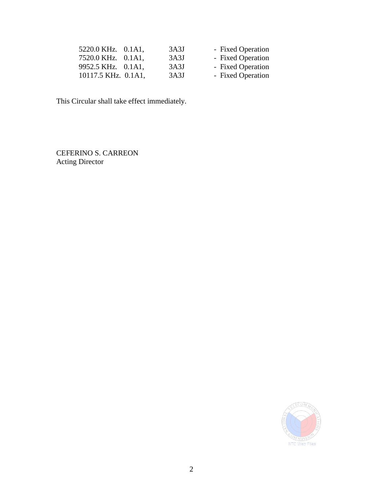| 5220.0 KHz. 0.1A1,  | 3A3J | - Fixed Operation |
|---------------------|------|-------------------|
| 7520.0 KHz. 0.1A1.  | 3A3J | - Fixed Operation |
| 9952.5 KHz. 0.1A1,  | 3A3J | - Fixed Operation |
| 10117.5 KHz. 0.1A1, | 3A3J | - Fixed Operation |

This Circular shall take effect immediately.

CEFERINO S. CARREON Acting Director

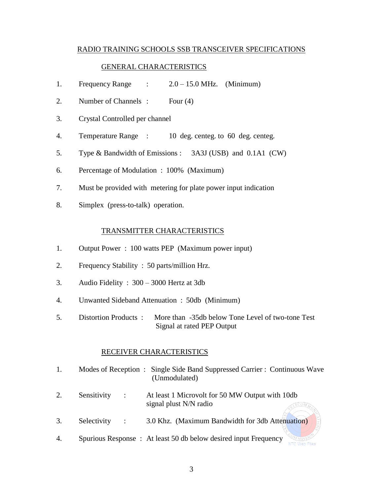#### RADIO TRAINING SCHOOLS SSB TRANSCEIVER SPECIFICATIONS

#### GENERAL CHARACTERISTICS

- 1. Frequency Range :  $2.0 15.0$  MHz. (Minimum)
- 2. Number of Channels : Four (4)
- 3. Crystal Controlled per channel
- 4. Temperature Range : 10 deg. centeg. to 60 deg. centeg.
- 5. Type & Bandwidth of Emissions : 3A3J (USB) and 0.1A1 (CW)
- 6. Percentage of Modulation : 100% (Maximum)
- 7. Must be provided with metering for plate power input indication
- 8. Simplex (press-to-talk) operation.

#### TRANSMITTER CHARACTERISTICS

- 1. Output Power : 100 watts PEP (Maximum power input)
- 2. Frequency Stability : 50 parts/million Hrz.
- 3. Audio Fidelity : 300 3000 Hertz at 3db
- 4. Unwanted Sideband Attenuation : 50db (Minimum)
- 5. Distortion Products : More than -35db below Tone Level of two-tone Test Signal at rated PEP Output

#### RECEIVER CHARACTERISTICS

- 1. Modes of Reception : Single Side Band Suppressed Carrier : Continuous Wave (Unmodulated)
- 2. Sensitivity : At least 1 Microvolt for 50 MW Output with 10db signal plust N/N radio LECOMA
- 3. Selectivity : 3.0 Khz. (Maximum Bandwidth for 3db Attenuation)
- 4. Spurious Response : At least 50 db below desired input FrequencyOMMISSIC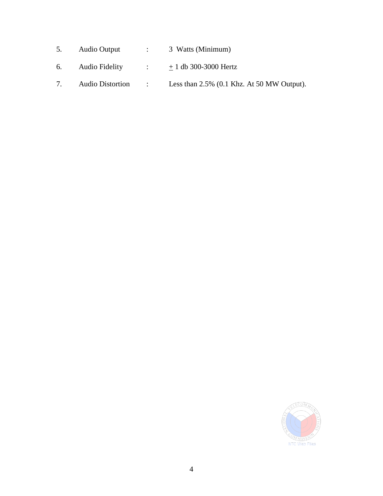- 5. Audio Output : 3 Watts (Minimum)
- 6. Audio Fidelity :  $\pm 1$  db 300-3000 Hertz
- 7. Audio Distortion : Less than 2.5% (0.1 Khz. At 50 MW Output).

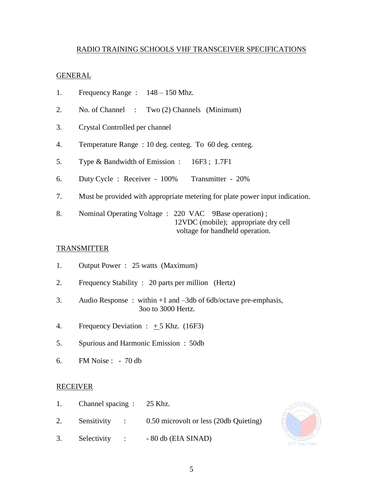## RADIO TRAINING SCHOOLS VHF TRANSCEIVER SPECIFICATIONS

### GENERAL

- 1. Frequency Range : 148 150 Mhz.
- 2. No. of Channel : Two (2) Channels (Minimum)
- 3. Crystal Controlled per channel
- 4. Temperature Range : 10 deg. centeg. To 60 deg. centeg.
- 5. Type & Bandwidth of Emission : 16F3 ; 1.7F1
- 6. Duty Cycle : Receiver 100% Transmitter 20%
- 7. Must be provided with appropriate metering for plate power input indication.
- 8. Nominal Operating Voltage : 220 VAC 9Base operation) ; 12VDC (mobile); appropriate dry cell voltage for handheld operation.

# **TRANSMITTER**

- 1. Output Power : 25 watts (Maximum)
- 2. Frequency Stability : 20 parts per million (Hertz)
- 3. Audio Response : within +1 and –3db of 6db/octave pre-emphasis, 3oo to 3000 Hertz.
- 4. Frequency Deviation :  $+5$  Khz. (16F3)
- 5. Spurious and Harmonic Emission : 50db
- 6. FM Noise : 70 db

## RECEIVER

- 1. Channel spacing : 25 Khz.
- 2. Sensitivity : 0.50 microvolt or less (20db Quieting)
- 3. Selectivity : 80 db (EIA SINAD)

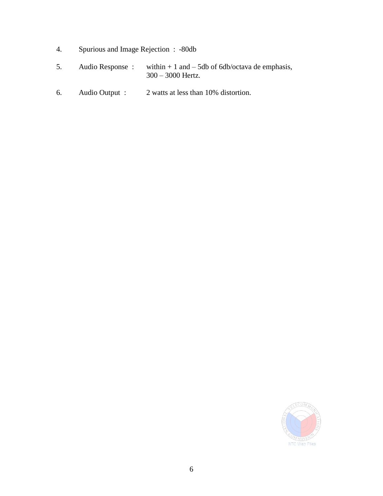- 4. Spurious and Image Rejection : -80db
- 5. Audio Response : within  $+ 1$  and  $5$ db of 6db/octava de emphasis, 300 – 3000 Hertz.
- 6. Audio Output : 2 watts at less than 10% distortion.

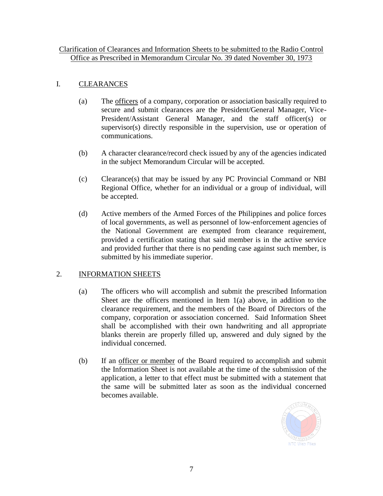# Clarification of Clearances and Information Sheets to be submitted to the Radio Control Office as Prescribed in Memorandum Circular No. 39 dated November 30, 1973

# I. CLEARANCES

- (a) The officers of a company, corporation or association basically required to secure and submit clearances are the President/General Manager, Vice-President/Assistant General Manager, and the staff officer(s) or supervisor(s) directly responsible in the supervision, use or operation of communications.
- (b) A character clearance/record check issued by any of the agencies indicated in the subject Memorandum Circular will be accepted.
- (c) Clearance(s) that may be issued by any PC Provincial Command or NBI Regional Office, whether for an individual or a group of individual, will be accepted.
- (d) Active members of the Armed Forces of the Philippines and police forces of local governments, as well as personnel of low-enforcement agencies of the National Government are exempted from clearance requirement, provided a certification stating that said member is in the active service and provided further that there is no pending case against such member, is submitted by his immediate superior.

# 2. INFORMATION SHEETS

- (a) The officers who will accomplish and submit the prescribed Information Sheet are the officers mentioned in Item 1(a) above, in addition to the clearance requirement, and the members of the Board of Directors of the company, corporation or association concerned. Said Information Sheet shall be accomplished with their own handwriting and all appropriate blanks therein are properly filled up, answered and duly signed by the individual concerned.
- (b) If an officer or member of the Board required to accomplish and submit the Information Sheet is not available at the time of the submission of the application, a letter to that effect must be submitted with a statement that the same will be submitted later as soon as the individual concerned becomes available.